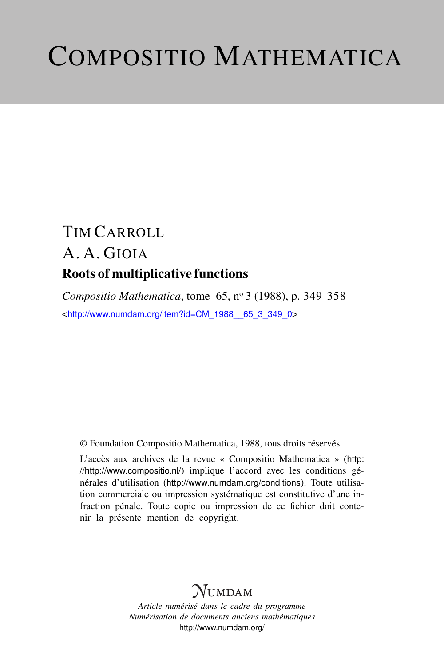# COMPOSITIO MATHEMATICA

# TIM CARROLL A. A. GIOIA Roots of multiplicative functions

*Compositio Mathematica*, tome 65, n<sup>o</sup> 3 (1988), p. 349-358 <[http://www.numdam.org/item?id=CM\\_1988\\_\\_65\\_3\\_349\\_0](http://www.numdam.org/item?id=CM_1988__65_3_349_0)>

© Foundation Compositio Mathematica, 1988, tous droits réservés.

L'accès aux archives de la revue « Compositio Mathematica » ([http:](http://http://www.compositio.nl/) [//http://www.compositio.nl/](http://http://www.compositio.nl/)) implique l'accord avec les conditions générales d'utilisation (<http://www.numdam.org/conditions>). Toute utilisation commerciale ou impression systématique est constitutive d'une infraction pénale. Toute copie ou impression de ce fichier doit contenir la présente mention de copyright.

# **NUMDAM**

*Article numérisé dans le cadre du programme Numérisation de documents anciens mathématiques* <http://www.numdam.org/>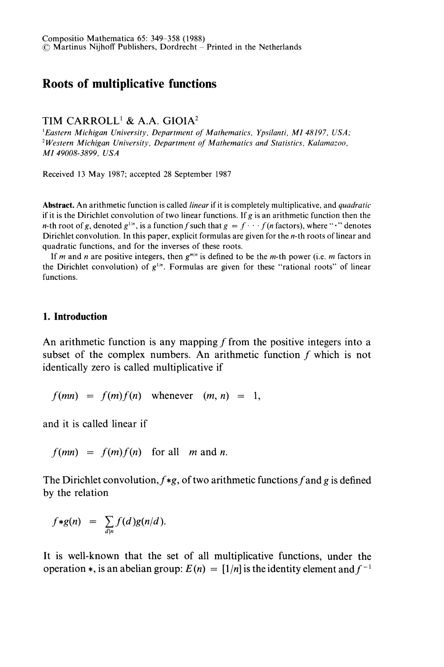# Roots of multiplicative functions

## TIM CARROLL<sup>1</sup> & A.A. GIOIA<sup>2</sup>

'Eastern Michigan University, Department of Mathematics, Ypsilanti, MI 48197, USA; 2Western Michigan University, Department of Mathematics and Statistics, Kalamazoo, MI 49008-3899, USA

Received 13 May 1987; accepted 28 September 1987

Abstract. An arithmetic function is called *linear* if it is completely multiplicative, and *quadratic* if it is the Dirichlet convolution of two linear functions. If g is an arithmetic function then the *n*-th root of g, denoted  $g^{1/n}$ , is a function f such that  $g = f \cdots f(n$  factors), where " $\cdot$ " denotes Dirichlet convolution. In this paper, explicit formulas are given for the n-th roots of linear and quadratic functions, and for the inverses of these roots.

If m and n are positive integers, then  $g^{m/n}$  is defined to be the m-th power (i.e. m factors in the Dirichlet convolution) of  $g^{1/n}$ . Formulas are given for these "rational roots" of linear functions.

#### 1. Introduction

An arithmetic function is any mapping  $f$  from the positive integers into a subset of the complex numbers. An arithmetic function f which is not identically zero is called multiplicative if

$$
f(mn) = f(m)f(n) \quad \text{whenever} \quad (m, n) = 1,
$$

and it is called linear if

 $f(mn) = f(m)f(n)$  for all m and n.

The Dirichlet convolution,  $f * g$ , of two arithmetic functions f and g is defined by the relation

$$
f*g(n) = \sum_{d|n} f(d)g(n/d).
$$

It is well-known that the set of all multiplicative functions, under the operation  $\ast$ , is an abelian group:  $E(n) = \lfloor 1/n \rfloor$  is the identity element and  $f^{-1}$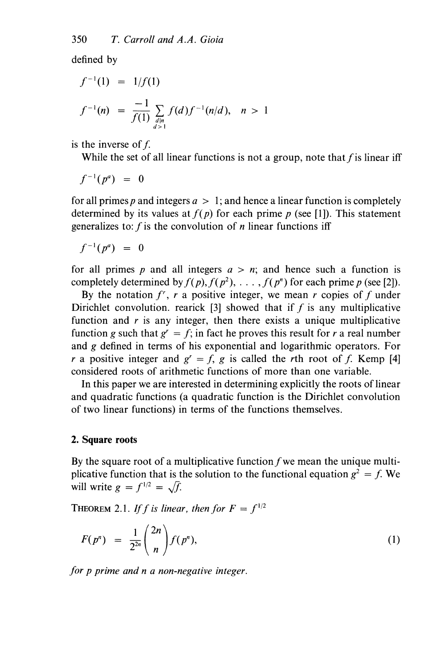defined by

$$
f^{-1}(1) = 1/f(1)
$$
  

$$
f^{-1}(n) = \frac{-1}{f(1)} \sum_{\substack{d|n \ d>1}} f(d) f^{-1}(n/d), \quad n > 1
$$

is the inverse of  $f$ .

While the set of all linear functions is not a group, note that  $f$  is linear iff

$$
f^{-1}(p^a) = 0
$$

for all primes p and integers  $a > 1$ ; and hence a linear function is completely determined by its values at  $f(p)$  for each prime p (see [1]). This statement generalizes to:  $f$  is the convolution of  $n$  linear functions iff

$$
f^{-1}(p^a) = 0
$$

for all primes p and all integers  $a > n$ ; and hence such a function is completely determined by  $f(p)$ ,  $f(p^2)$ , ...,  $f(p^n)$  for each prime p (see [2]).

By the notation  $f^r$ , r a positive integer, we mean r copies of f under Dirichlet convolution. rearick [3] showed that if  $f$  is any multiplicative function and  $r$  is any integer, then there exists a unique multiplicative function g such that  $g' = f$ ; in fact he proves this result for r a real number and g defined in terms of his exponential and logarithmic operators. For r a positive integer and  $g' = f$ , g is called the rth root of f. Kemp [4] considered roots of arithmetic functions of more than one variable.

In this paper we are interested in determining explicitly the roots of linear and quadratic functions (a quadratic function is the Dirichlet convolution of two linear functions) in terms of the functions themselves.

## 2. Square roots

By the square root of a multiplicative function  $f$  we mean the unique multiplicative function that is the solution to the functional equation  $g^2 = f$ . We will write  $g = f^{1/2} = \sqrt{f}$ .

THEOREM 2.1. If f is linear, then for  $F = f^{1/2}$ 

$$
F(p^n) = \frac{1}{2^{2n}} {2n \choose n} f(p^n), \qquad (1)
$$

for p prime and n a non-negative integer.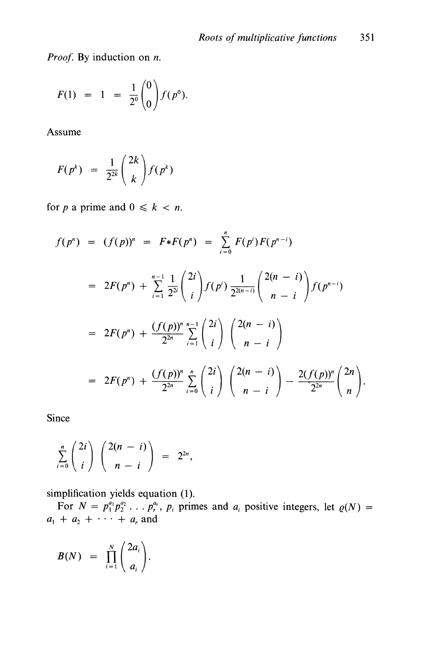Proof. By induction on  $n$ .

$$
F(1) = 1 = \frac{1}{2^0} {0 \choose 0} f(p^0).
$$

Assume

$$
F(p^k) = \frac{1}{2^{2k}} \binom{2k}{k} f(p^k)
$$

for p a prime and  $0 \le k < n$ .

$$
f(p^n) = (f(p))^n = F * F(p^n) = \sum_{i=0}^n F(p^i) F(p^{n-i})
$$
  
=  $2F(p^n) + \sum_{i=1}^{n-1} \frac{1}{2^{2i}} {2i \choose i} f(p^i) \frac{1}{2^{2(n-i)}} {2(n-i) \choose n-i} f(p^{n-i})$   
=  $2F(p^n) + \frac{(f(p))^n}{2^{2n}} \sum_{i=1}^{n-1} {2i \choose i} {2(n-i) \choose n-i}$   
=  $2F(p^n) + \frac{(f(p))^n}{2^{2n}} \sum_{i=0}^n {2i \choose i} {2(n-i) \choose n-i} - \frac{2(f(p))^n}{2^{2n}} {2n \choose n}.$ 

Since

$$
\sum_{i=0}^n \binom{2i}{i} \binom{2(n-i)}{n-i} = 2^{2n},
$$

simplification yields equation (1).<br>For  $N = p_1^{a_1} p_2^{a_2} \dots p_r^{a_r}$ ,  $p_i$  primes and  $a_i$  positive integers, let  $\varrho(N) =$  $a_1 + a_2 + \cdots + a_r$  and

$$
B(N) = \prod_{i=1}^N \binom{2a_i}{a_i}.
$$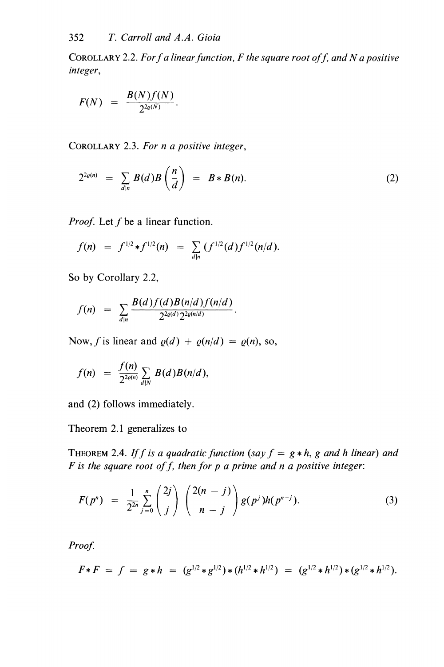COROLLARY 2.2. For f a linear function,  $F$  the square root of f, and N a positive integer,

$$
F(N) = \frac{B(N)f(N)}{2^{2\varrho(N)}}.
$$

COROLLARY 2.3. For n a positive integer,

$$
2^{2\varrho(n)} = \sum_{d|n} B(d)B\left(\frac{n}{d}\right) = B*B(n). \tag{2}
$$

*Proof.* Let  $f$  be a linear function.

$$
f(n) = f^{1/2} * f^{1/2}(n) = \sum_{d|n} (f^{1/2}(d) f^{1/2}(n/d)).
$$

So by Corollary 2.2,

$$
f(n) = \sum_{d|n} \frac{B(d)f(d)B(n/d)f(n/d)}{2^{2\varrho(d)}2^{2\varrho(n/d)}}.
$$

Now, f is linear and  $\varrho(d) + \varrho(n/d) = \varrho(n)$ , so,

$$
f(n) = \frac{f(n)}{2^{2\varrho(n)}} \sum_{d|N} B(d)B(n|d),
$$

and (2) follows immediately.

Theorem 2.1 generalizes to

THEOREM 2.4. If f is a quadratic function (say  $f = g * h$ , g and h linear) and F is the square root of f, then for  $p$  a prime and  $n$  a positive integer:

$$
F(p^n) = \frac{1}{2^{2n}} \sum_{j=0}^n {2j \choose j} {2(n-j) \choose n-j} g(p^j)h(p^{n-j}). \tag{3}
$$

Proof.

$$
F * F = f = g * h = (g^{1/2} * g^{1/2}) * (h^{1/2} * h^{1/2}) = (g^{1/2} * h^{1/2}) * (g^{1/2} * h^{1/2}).
$$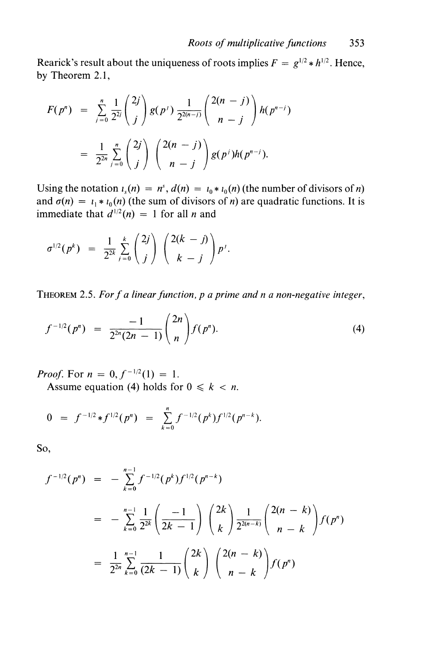Rearick's result about the uniqueness of roots implies  $F = g^{1/2} * h^{1/2}$ . Hence, by Theorem 2.1,

$$
F(p^n) = \sum_{j=0}^n \frac{1}{2^{2j}} {2j \choose j} g(p') \frac{1}{2^{2(n-j)}} {2(n-j) \choose n-j} h(p^{n-j})
$$
  
= 
$$
\frac{1}{2^{2n}} \sum_{j=0}^n {2j \choose j} {2(n-j) \choose n-j} g(p') h(p^{n-j}).
$$

Using the notation  $i_s(n) = n^s$ ,  $d(n) = i_0 * i_0(n)$  (the number of divisors of n) and  $\sigma(n) = i_1 * i_0(n)$  (the sum of divisors of n) are quadratic functions. It is immediate that  $d^{1/2}(n) = 1$  for all *n* and

$$
\sigma^{1/2}(p^k) = \frac{1}{2^{2k}} \sum_{j=0}^k {2j \choose j} {2(k-j) \choose k-j} p^j.
$$

THEOREM 2.5. For f a linear function, p a prime and n a non-negative integer,

$$
f^{-1/2}(p^n) = \frac{-1}{2^{2n}(2n-1)} {2n \choose n} f(p^n). \tag{4}
$$

*Proof.* For  $n = 0, f^{-1/2}(1) = 1$ .

Assume equation (4) holds for  $0 \le k < n$ .

$$
0 = f^{-1/2} * f^{1/2}(p^n) = \sum_{k=0}^n f^{-1/2}(p^k) f^{1/2}(p^{n-k}).
$$

So,

$$
f^{-1/2}(p^n) = -\sum_{k=0}^{n-1} f^{-1/2}(p^k) f^{1/2}(p^{n-k})
$$
  
= 
$$
-\sum_{k=0}^{n-1} \frac{1}{2^{2k}} \left(\frac{-1}{2k-1}\right) {2k \choose k} \frac{1}{2^{2(n-k)}} {2(n-k) \choose n-k} f(p^n)
$$
  
= 
$$
\frac{1}{2^{2n}} \sum_{k=0}^{n-1} \frac{1}{(2k-1)} {2k \choose k} {2(n-k) \choose n-k} f(p^n)
$$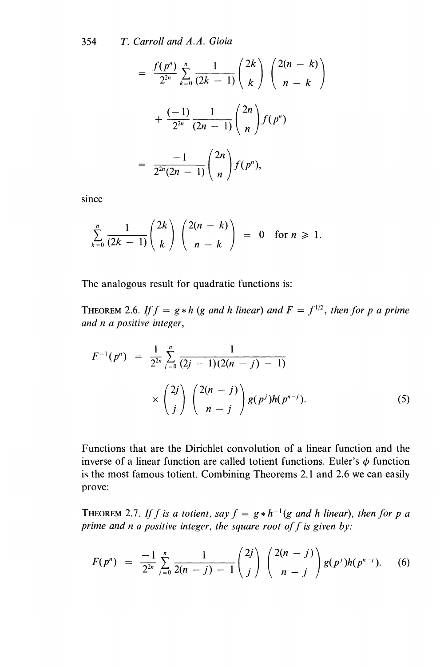354 T. Carroll and A.A. Gioia

$$
= \frac{f(p^n)}{2^{2n}} \sum_{k=0}^n \frac{1}{(2k-1)} {2k \choose k} {2(n-k) \choose n-k} + \frac{(-1)}{2^{2n}} \frac{1}{(2n-1)} {2n \choose n} f(p^n) = \frac{-1}{2^{2n}(2n-1)} {2n \choose n} f(p^n),
$$

since

$$
\sum_{k=0}^n \frac{1}{(2k-1)} \binom{2k}{k} \binom{2(n-k)}{n-k} = 0 \text{ for } n \geq 1.
$$

The analogous result for quadratic functions is:

THEOREM 2.6. If  $f = g * h$  (g and h linear) and  $F = f^{1/2}$ , then for p a prime and n a positive integer,

$$
F^{-1}(p^n) = \frac{1}{2^{2n}} \sum_{j=0}^n \frac{1}{(2j-1)(2(n-j)-1)}
$$
  
 
$$
\times \binom{2j}{j} \binom{2(n-j)}{n-j} g(p^j) h(p^{n-j}). \tag{5}
$$

Functions that are the Dirichlet convolution of a linear function and the inverse of a linear function are called totient functions. Euler's  $\phi$  function is the most famous totient. Combining Theorems 2.1 and 2.6 we can easily prove:

THEOREM 2.7. If f is a totient, say  $f = g * h^{-1}(g$  and h linear), then for p a prime and n a positive integer, the square root of  $f$  is given by:

$$
F(p^n) = \frac{-1}{2^{2n}} \sum_{j=0}^n \frac{1}{2(n-j)-1} {2j \choose j} {2(n-j) \choose n-j} g(p^j)h(p^{n-j}). \quad (6)
$$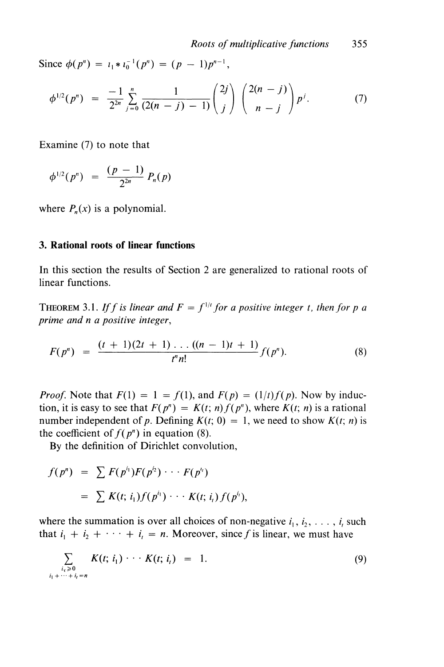Since  $\phi(p^n) = l_1 * l_0^{-1}(p^n) = (p - 1)p^{n-1}$ ,

$$
\phi^{1/2}(p^n) = \frac{-1}{2^{2n}} \sum_{j=0}^n \frac{1}{(2(n-j)-1)} \binom{2j}{j} \binom{2(n-j)}{n-j} p^j. \tag{7}
$$

Examine (7) to note that

$$
\phi^{1/2}(p^n) = \frac{(p-1)}{2^{2n}} P_n(p)
$$

where  $P_n(x)$  is a polynomial.

## 3. Rational roots of linear functions

In this section the results of Section 2 are generalized to rational roots of linear functions.

THEOREM 3.1. If f is linear and  $F = f^{1/t}$  for a positive integer t, then for p a prime and n a positive integer,

$$
F(p^n) = \frac{(t+1)(2t+1)\dots((n-1)t+1)}{t^n n!} f(p^n). \tag{8}
$$

*Proof.* Note that  $F(1) = 1 = f(1)$ , and  $F(p) = (1/t)f(p)$ . Now by induction, it is easy to see that  $F(p^n) = K(t; n) f(p^n)$ , where  $K(t; n)$  is a rational number independent of p. Defining  $K(t; 0) = 1$ , we need to show  $K(t; n)$  is the coefficient of  $f(p^n)$  in equation (8).

By the definition of Dirichlet convolution,

$$
f(p^n) = \sum F(p^{i_1})F(p^{i_2}) \cdots F(p^{i_r})
$$
  
= 
$$
\sum K(t; i_1)f(p^{i_1}) \cdots K(t; i_t)f(p^{i_t}),
$$

where the summation is over all choices of non-negative  $i_1, i_2, \ldots, i_t$  such that  $i_1 + i_2 + \cdots + i_t = n$ . Moreover, since f is linear, we must have

$$
\sum_{\substack{i_i \geq 0 \\ i_1 + \dots + i_i = n}} K(t; i_1) \cdot \cdot \cdot K(t; i_i) = 1.
$$
 (9)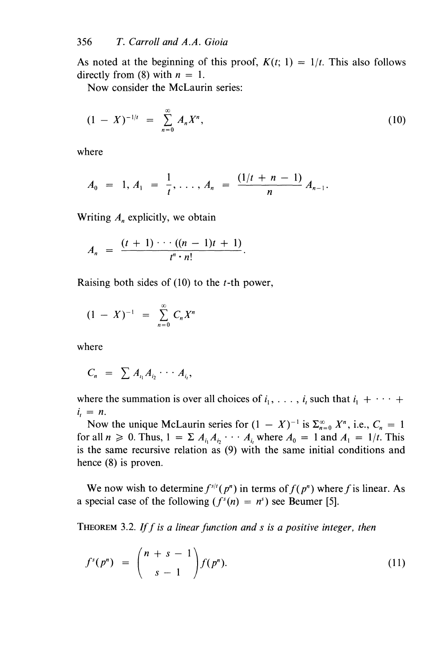As noted at the beginning of this proof,  $K(t; 1) = 1/t$ . This also follows directly from (8) with  $n = 1$ .

Now consider the McLaurin series:

$$
(1 - X)^{-1/t} = \sum_{n=0}^{\infty} A_n X^n,
$$
 (10)

where

$$
A_0 = 1, A_1 = \frac{1}{t}, \ldots, A_n = \frac{(1/t + n - 1)}{n} A_{n-1}.
$$

Writing  $A_n$  explicitly, we obtain

$$
A_n = \frac{(t+1)\cdots((n-1)t+1)}{t^n\cdot n!}.
$$

Raising both sides of  $(10)$  to the *t*-th power,

$$
(1 - X)^{-1} = \sum_{n=0}^{\infty} C_n X^n
$$

where

$$
C_n = \sum A_{i_1} A_{i_2} \cdots A_{i_t},
$$

where the summation is over all choices of  $i_1, \ldots, i_t$  such that  $i_1 + \cdots +$  $i_i = n$ .

Now the unique McLaurin series for  $(1 - X)^{-1}$  is  $\Sigma_{n=0}^{\infty} X^n$ , i.e.,  $C_n = 1$ for all  $n \ge 0$ . Thus,  $1 = \sum A_{i_1} A_{i_2} \cdots A_{i_k}$  where  $A_0 = 1$  and  $A_1 = 1/t$ . This is the same recursive relation as (9) with the same initial conditions and hence (8) is proven.

We now wish to determine  $f^{s/t}(p^n)$  in terms of  $f(p^n)$  where f is linear. As a special case of the following  $(f<sup>s</sup>(n) = n<sup>s</sup>)$  see Beumer [5].

**THEOREM** 3.2. If f is a linear function and s is a positive integer, then

$$
f^{s}(p^{n}) = {n+s-1 \choose s-1} f(p^{n}).
$$
\n(11)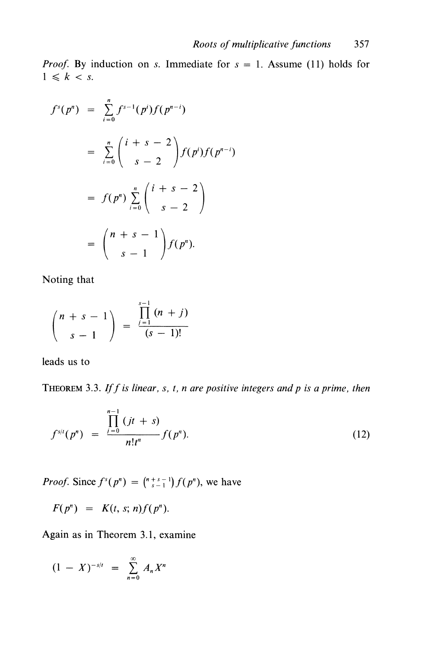*Proof.* By induction on s. Immediate for  $s = 1$ . Assume (11) holds for  $1 \leq k < s$ .

$$
f^{s}(p^{n}) = \sum_{i=0}^{n} f^{s-1}(p^{i}) f(p^{n-i})
$$
  
= 
$$
\sum_{i=0}^{n} {i+s-2 \choose s-2} f(p^{i}) f(p^{n-i})
$$
  
= 
$$
f(p^{n}) \sum_{i=0}^{n} {i+s-2 \choose s-2}
$$
  
= 
$$
{n+s-1 \choose s-1} f(p^{n}).
$$

Noting that

$$
\binom{n+s-1}{s-1} = \frac{\prod_{j=1}^{s-1} (n+j)}{(s-1)!}
$$

leads us to

THEOREM 3.3. If f is linear, s, t, n are positive integers and p is a prime, then

$$
f^{s/t}(p^n) = \frac{\prod_{i=0}^{n-1} (jt+s)}{n!t^n} f(p^n). \tag{12}
$$

*Proof.* Since  $f^{s}(p^{n}) = {n+s-1 \choose s-1} f(p^{n})$ , we have

 $F(p^n) = K(t, s; n) f(p^n).$ 

Again as in Theorem 3.1, examine

$$
(1 - X)^{-s/t} = \sum_{n=0}^{\infty} A_n X^n
$$